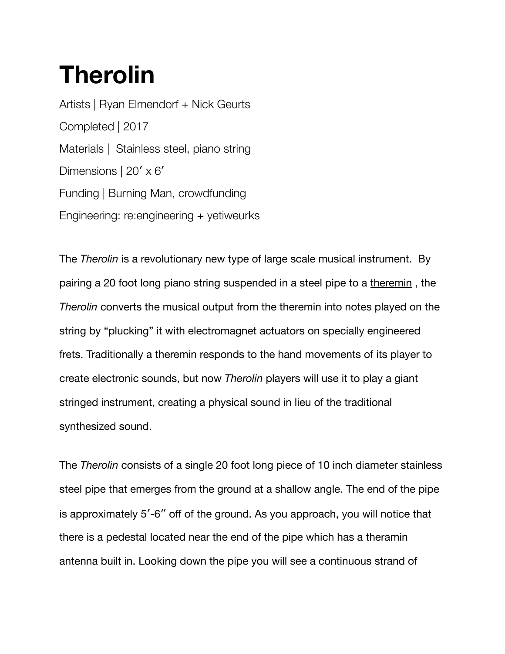## **Therolin**

Artists | Ryan Elmendorf + Nick Geurts Completed | 2017 Materials | Stainless steel, piano string Dimensions | 20' x 6' Funding | Burning Man, crowdfunding Engineering: re:engineering + yetiweurks

The *Therolin* is a revolutionary new type of large scale musical instrument. By pairing a 20 foot long piano string suspended in a steel pipe to a theremin, the *Therolin* converts the musical output from the theremin into notes played on the string by "plucking" it with electromagnet actuators on specially engineered frets. Traditionally a theremin responds to the hand movements of its player to create electronic sounds, but now *Therolin* players will use it to play a giant stringed instrument, creating a physical sound in lieu of the traditional synthesized sound.

The *Therolin* consists of a single 20 foot long piece of 10 inch diameter stainless steel pipe that emerges from the ground at a shallow angle. The end of the pipe is approximately 5′-6″ off of the ground. As you approach, you will notice that there is a pedestal located near the end of the pipe which has a theramin antenna built in. Looking down the pipe you will see a continuous strand of